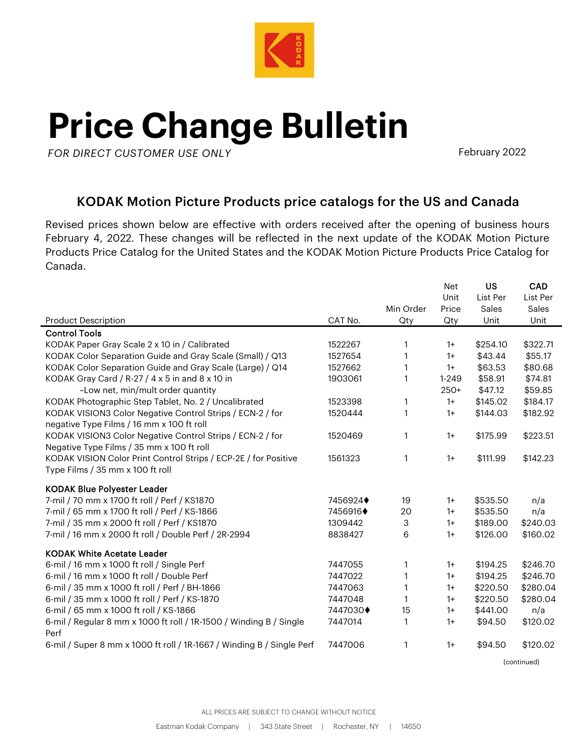

## **Price Change Bulletin**

**AK***FOR DIRECT CUSTOMER USE ONLY*

February 2022

## KODAK Motion Picture Products price catalogs for the US and Canada

Revised prices shown below are effective with orders received after the opening of business hours February 4, 2022. These changes will be reflected in the next update of the KODAK Motion Picture Products Price Catalog for the United States and the KODAK Motion Picture Products Price Catalog for Canada.

|                                                                                                        |                         | Min Order | Net<br>Unit<br>Price | <b>US</b><br>List Per<br>Sales | CAD<br>List Per<br>Sales |
|--------------------------------------------------------------------------------------------------------|-------------------------|-----------|----------------------|--------------------------------|--------------------------|
| <b>Product Description</b>                                                                             | CAT No.                 | Qty       | Qty                  | Unit                           | Unit                     |
| <b>Control Tools</b>                                                                                   |                         |           |                      |                                |                          |
| KODAK Paper Gray Scale 2 x 10 in / Calibrated                                                          | 1522267                 | 1         | $1+$                 | \$254.10                       | \$322.71                 |
| KODAK Color Separation Guide and Gray Scale (Small) / Q13                                              | 1527654                 | 1         | $1+$                 | \$43.44                        | \$55.17                  |
| KODAK Color Separation Guide and Gray Scale (Large) / Q14                                              | 1527662                 | 1         | $1+$                 | \$63.53                        | \$80.68                  |
| KODAK Gray Card / R-27 / 4 x 5 in and 8 x 10 in                                                        | 1903061                 | 1         | $1 - 249$            | \$58.91                        | \$74.81                  |
| -Low net, min/mult order quantity                                                                      |                         |           | $250+$               | \$47.12                        | \$59.85                  |
| KODAK Photographic Step Tablet, No. 2 / Uncalibrated                                                   | 1523398                 | 1         | $1+$                 | \$145.02                       | \$184.17                 |
| KODAK VISION3 Color Negative Control Strips / ECN-2 / for<br>negative Type Films / 16 mm x 100 ft roll | 1520444                 | 1         | $1+$                 | \$144.03                       | \$182.92                 |
| KODAK VISION3 Color Negative Control Strips / ECN-2 / for<br>Negative Type Films / 35 mm x 100 ft roll | 1520469                 | 1         | $1+$                 | \$175.99                       | \$223.51                 |
| KODAK VISION Color Print Control Strips / ECP-2E / for Positive<br>Type Films / 35 mm x 100 ft roll    | 1561323                 | 1         | $1+$                 | \$111.99                       | \$142.23                 |
| <b>KODAK Blue Polyester Leader</b>                                                                     |                         |           |                      |                                |                          |
| 7-mil / 70 mm x 1700 ft roll / Perf / KS1870                                                           | 7456924 $\blacklozenge$ | 19        | $1+$                 | \$535.50                       | n/a                      |
| 7-mil / 65 mm x 1700 ft roll / Perf / KS-1866                                                          | 7456916♦                | 20        | $1+$                 | \$535.50                       | n/a                      |
| 7-mil / 35 mm x 2000 ft roll / Perf / KS1870                                                           | 1309442                 | 3         | $1+$                 | \$189.00                       | \$240.03                 |
| 7-mil / 16 mm x 2000 ft roll / Double Perf / 2R-2994                                                   | 8838427                 | 6         | $1+$                 | \$126.00                       | \$160.02                 |
| <b>KODAK White Acetate Leader</b>                                                                      |                         |           |                      |                                |                          |
| 6-mil / 16 mm x 1000 ft roll / Single Perf                                                             | 7447055                 | 1         | $1+$                 | \$194.25                       | \$246.70                 |
| 6-mil / 16 mm x 1000 ft roll / Double Perf                                                             | 7447022                 | 1         | $1+$                 | \$194.25                       | \$246.70                 |
| 6-mil / 35 mm x 1000 ft roll / Perf / BH-1866                                                          | 7447063                 | 1         | $1+$                 | \$220.50                       | \$280.04                 |
| 6-mil / 35 mm x 1000 ft roll / Perf / KS-1870                                                          | 7447048                 | 1         | $1+$                 | \$220.50                       | \$280.04                 |
| 6-mil / 65 mm x 1000 ft roll / KS-1866                                                                 | 7447030+                | 15        | $1+$                 | \$441.00                       | n/a                      |
| 6-mil / Regular 8 mm x 1000 ft roll / 1R-1500 / Winding B / Single<br>Perf                             | 7447014                 | 1         | $1+$                 | \$94.50                        | \$120.02                 |
| 6-mil / Super 8 mm x 1000 ft roll / 1R-1667 / Winding B / Single Perf                                  | 7447006                 | 1         | $1+$                 | \$94.50                        | \$120.02                 |

(continued)

ALL PRICES ARE SUBJECT TO CHANGE WITHOUT NOTICE